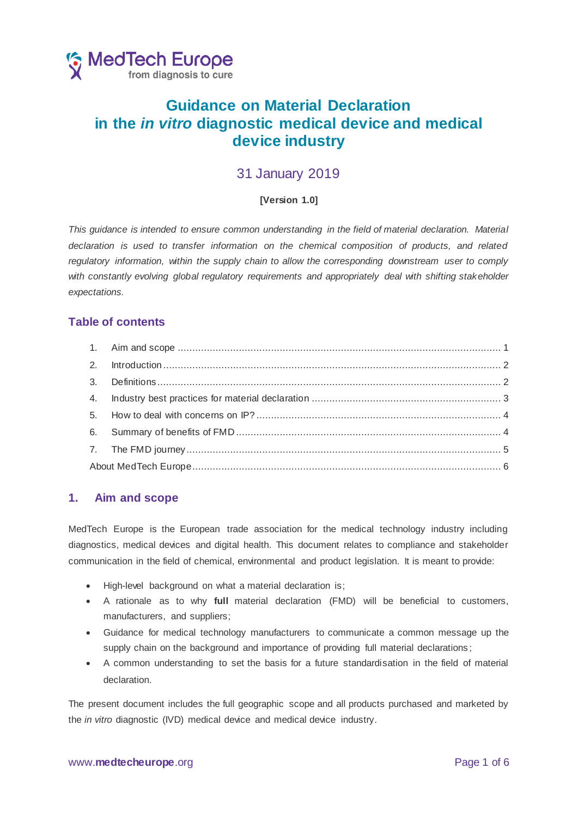

# **Guidance on Material Declaration in the** *in vitro* **diagnostic medical device and medical device industry**

## 31 January 2019

### **[Version 1.0]**

*This guidance is intended to ensure common understanding in the field of material declaration. Material declaration is used to transfer information on the chemical composition of products, and related regulatory information, within the supply chain to allow the corresponding downstream user to comply*  with constantly evolving global regulatory requirements and appropriately deal with shifting stakeholder *expectations.*

### **Table of contents**

### <span id="page-0-0"></span>**1. Aim and scope**

MedTech Europe is the European trade association for the medical technology industry including diagnostics, medical devices and digital health. This document relates to compliance and stakeholder communication in the field of chemical, environmental and product legislation. It is meant to provide:

- High-level background on what a material declaration is;
- A rationale as to why **full** material declaration (FMD) will be beneficial to customers, manufacturers, and suppliers;
- Guidance for medical technology manufacturers to communicate a common message up the supply chain on the background and importance of providing full material declarations;
- A common understanding to set the basis for a future standardisation in the field of material declaration.

The present document includes the full geographic scope and all products purchased and marketed by the *in vitro* diagnostic (IVD) medical device and medical device industry.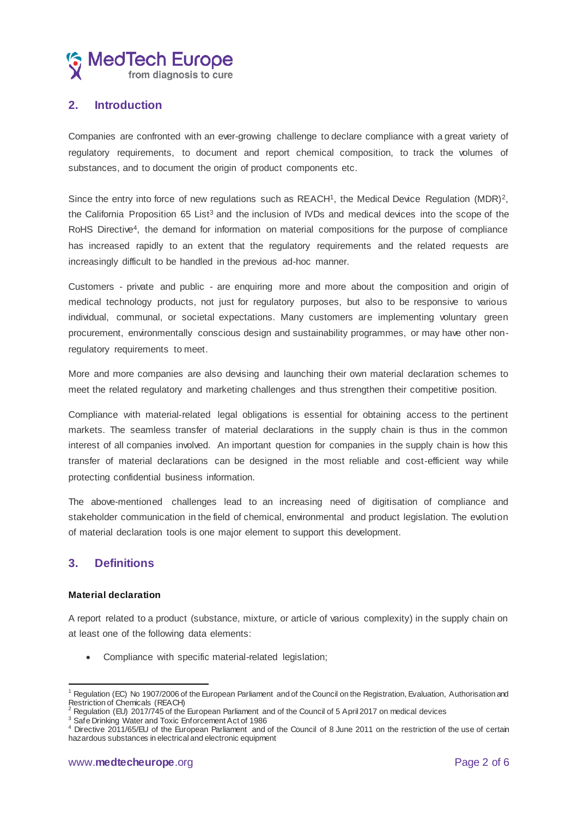

### <span id="page-1-0"></span>**2. Introduction**

Companies are confronted with an ever-growing challenge to declare compliance with a great variety of regulatory requirements, to document and report chemical composition, to track the volumes of substances, and to document the origin of product components etc.

Since the entry into force of new regulations such as  $REACH<sup>1</sup>$ , the Medical Device Regulation (MDR)<sup>2</sup>, the California Proposition 65 List<sup>3</sup> and the inclusion of IVDs and medical devices into the scope of the RoHS Directive<sup>4</sup>, the demand for information on material compositions for the purpose of compliance has increased rapidly to an extent that the regulatory requirements and the related requests are increasingly difficult to be handled in the previous ad-hoc manner.

Customers - private and public - are enquiring more and more about the composition and origin of medical technology products, not just for regulatory purposes, but also to be responsive to various individual, communal, or societal expectations. Many customers are implementing voluntary green procurement, environmentally conscious design and sustainability programmes, or may have other nonregulatory requirements to meet.

More and more companies are also devising and launching their own material declaration schemes to meet the related regulatory and marketing challenges and thus strengthen their competitive position.

Compliance with material‐related legal obligations is essential for obtaining access to the pertinent markets. The seamless transfer of material declarations in the supply chain is thus in the common interest of all companies involved. An important question for companies in the supply chain is how this transfer of material declarations can be designed in the most reliable and cost‐efficient way while protecting confidential business information.

The above-mentioned challenges lead to an increasing need of digitisation of compliance and stakeholder communication in the field of chemical, environmental and product legislation. The evolution of material declaration tools is one major element to support this development.

### <span id="page-1-1"></span>**3. Definitions**

#### **Material declaration**

 $\overline{a}$ 

A report related to a product (substance, mixture, or article of various complexity) in the supply chain on at least one of the following data elements:

• Compliance with specific material-related legislation;

<sup>1</sup> Regulation (EC) No 1907/2006 of the European Parliament and of the Council on the Registration, Evaluation, Authorisation and Restriction of Chemicals (REACH)

 $2$  Regulation (EU) 2017/745 of the European Parliament and of the Council of 5 April 2017 on medical devices

<sup>&</sup>lt;sup>3</sup> Safe Drinking Water and Toxic Enforcement Act of 1986

<sup>4</sup> Directive 2011/65/EU of the European Parliament and of the Council of 8 June 2011 on the restriction of the use of certain hazardous substances in electrical and electronic equipment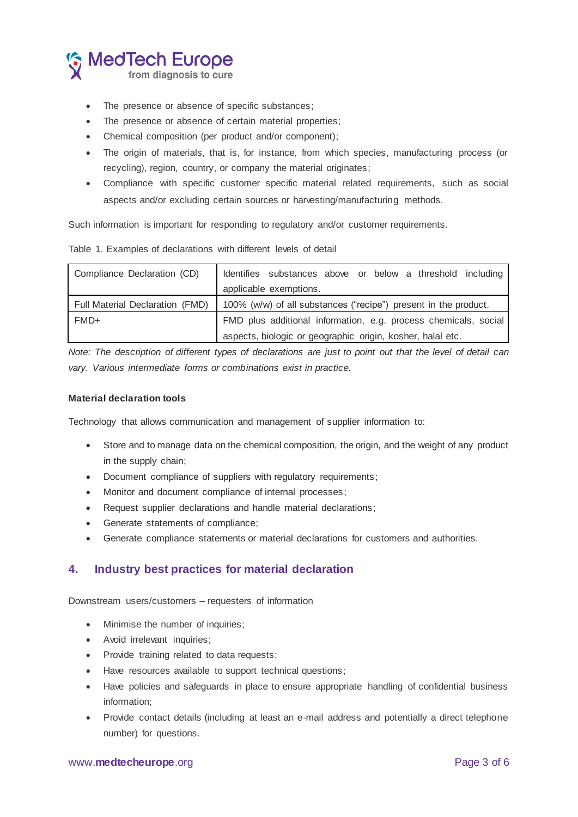

- The presence or absence of specific substances;
- The presence or absence of certain material properties;
- Chemical composition (per product and/or component);
- The origin of materials, that is, for instance, from which species, manufacturing process (or recycling), region, country, or company the material originates;
- Compliance with specific customer specific material related requirements, such as social aspects and/or excluding certain sources or harvesting/manufacturing methods.

Such information is important for responding to regulatory and/or customer requirements.

| Compliance Declaration (CD)     | Identifies substances above or below a threshold including      |
|---------------------------------|-----------------------------------------------------------------|
|                                 | applicable exemptions.                                          |
| Full Material Declaration (FMD) | 100% (w/w) of all substances ("recipe") present in the product. |
| FMD+                            | FMD plus additional information, e.g. process chemicals, social |
|                                 | aspects, biologic or geographic origin, kosher, halal etc.      |

Table 1. Examples of declarations with different levels of detail

*Note: The description of different types of declarations are just to point out that the level of detail can vary. Various intermediate forms or combinations exist in practice.*

#### **Material declaration tools**

Technology that allows communication and management of supplier information to:

- Store and to manage data on the chemical composition, the origin, and the weight of any product in the supply chain;
- Document compliance of suppliers with regulatory requirements;
- Monitor and document compliance of internal processes;
- Request supplier declarations and handle material declarations;
- Generate statements of compliance;
- Generate compliance statements or material declarations for customers and authorities.

### <span id="page-2-0"></span>**4. Industry best practices for material declaration**

Downstream users/customers – requesters of information

- Minimise the number of inquiries;
- Avoid irrelevant inquiries;
- Provide training related to data requests;
- Have resources available to support technical questions;
- Have policies and safeguards in place to ensure appropriate handling of confidential business information;
- Provide contact details (including at least an e-mail address and potentially a direct telephone number) for questions.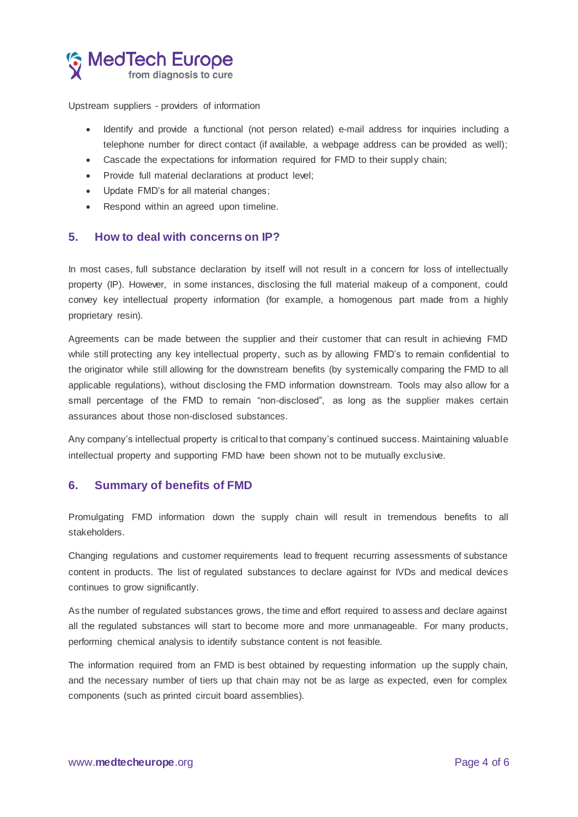

Upstream suppliers - providers of information

- Identify and provide a functional (not person related) e-mail address for inquiries including a telephone number for direct contact (if available, a webpage address can be provided as well);
- Cascade the expectations for information required for FMD to their supply chain;
- Provide full material declarations at product level;
- Update FMD's for all material changes;
- Respond within an agreed upon timeline.

### <span id="page-3-0"></span>**5. How to deal with concerns on IP?**

In most cases, full substance declaration by itself will not result in a concern for loss of intellectually property (IP). However, in some instances, disclosing the full material makeup of a component, could convey key intellectual property information (for example, a homogenous part made from a highly proprietary resin).

Agreements can be made between the supplier and their customer that can result in achieving FMD while still protecting any key intellectual property, such as by allowing FMD's to remain confidential to the originator while still allowing for the downstream benefits (by systemically comparing the FMD to all applicable regulations), without disclosing the FMD information downstream. Tools may also allow for a small percentage of the FMD to remain "non-disclosed", as long as the supplier makes certain assurances about those non-disclosed substances.

Any company's intellectual property is critical to that company's continued success. Maintaining valuable intellectual property and supporting FMD have been shown not to be mutually exclusive.

### <span id="page-3-1"></span>**6. Summary of benefits of FMD**

Promulgating FMD information down the supply chain will result in tremendous benefits to all stakeholders.

Changing regulations and customer requirements lead to frequent recurring assessments of substance content in products. The list of regulated substances to declare against for IVDs and medical devices continues to grow significantly.

As the number of regulated substances grows, the time and effort required to assess and declare against all the regulated substances will start to become more and more unmanageable. For many products, performing chemical analysis to identify substance content is not feasible.

The information required from an FMD is best obtained by requesting information up the supply chain, and the necessary number of tiers up that chain may not be as large as expected, even for complex components (such as printed circuit board assemblies).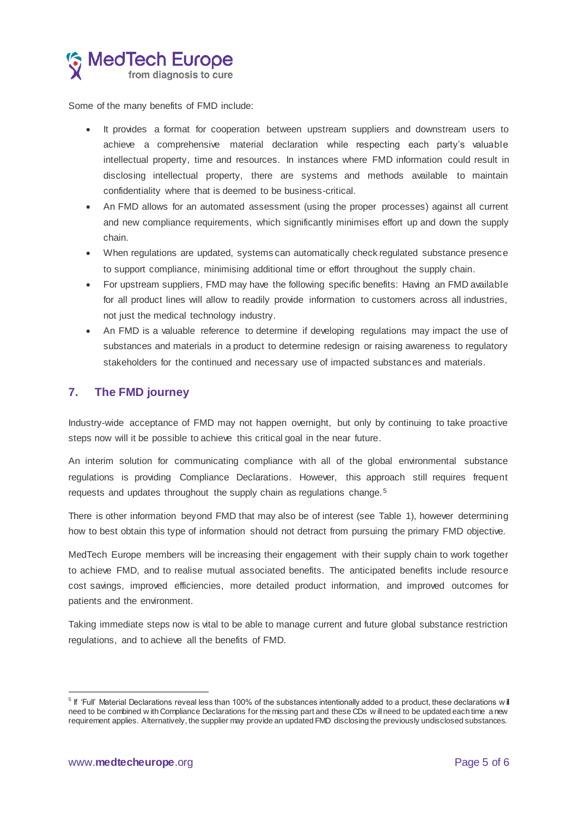

Some of the many benefits of FMD include:

- It provides a format for cooperation between upstream suppliers and downstream users to achieve a comprehensive material declaration while respecting each party's valuable intellectual property, time and resources. In instances where FMD information could result in disclosing intellectual property, there are systems and methods available to maintain confidentiality where that is deemed to be business-critical.
- An FMD allows for an automated assessment (using the proper processes) against all current and new compliance requirements, which significantly minimises effort up and down the supply chain.
- When regulations are updated, systems can automatically check regulated substance presence to support compliance, minimising additional time or effort throughout the supply chain.
- For upstream suppliers, FMD may have the following specific benefits: Having an FMD available for all product lines will allow to readily provide information to customers across all industries, not just the medical technology industry.
- An FMD is a valuable reference to determine if developing regulations may impact the use of substances and materials in a product to determine redesign or raising awareness to regulatory stakeholders for the continued and necessary use of impacted substances and materials.

### <span id="page-4-0"></span>**7. The FMD journey**

Industry-wide acceptance of FMD may not happen overnight, but only by continuing to take proactive steps now will it be possible to achieve this critical goal in the near future.

An interim solution for communicating compliance with all of the global environmental substance regulations is providing Compliance Declarations. However, this approach still requires frequent requests and updates throughout the supply chain as regulations change. <sup>5</sup>

There is other information beyond FMD that may also be of interest (see Table 1), however determining how to best obtain this type of information should not detract from pursuing the primary FMD objective.

MedTech Europe members will be increasing their engagement with their supply chain to work together to achieve FMD, and to realise mutual associated benefits. The anticipated benefits include resource cost savings, improved efficiencies, more detailed product information, and improved outcomes for patients and the environment.

Taking immediate steps now is vital to be able to manage current and future global substance restriction regulations, and to achieve all the benefits of FMD.

<sup>&</sup>lt;sub>5</sub><br>Fif 'Full' Material Declarations reveal less than 100% of the substances intentionally added to a product, these declarations w il⊥ need to be combined w ith Compliance Declarations for the missing part and these CDs w ill need to be updated each time a new requirement applies. Alternatively, the supplier may provide an updated FMD disclosing the previously undisclosed substances.